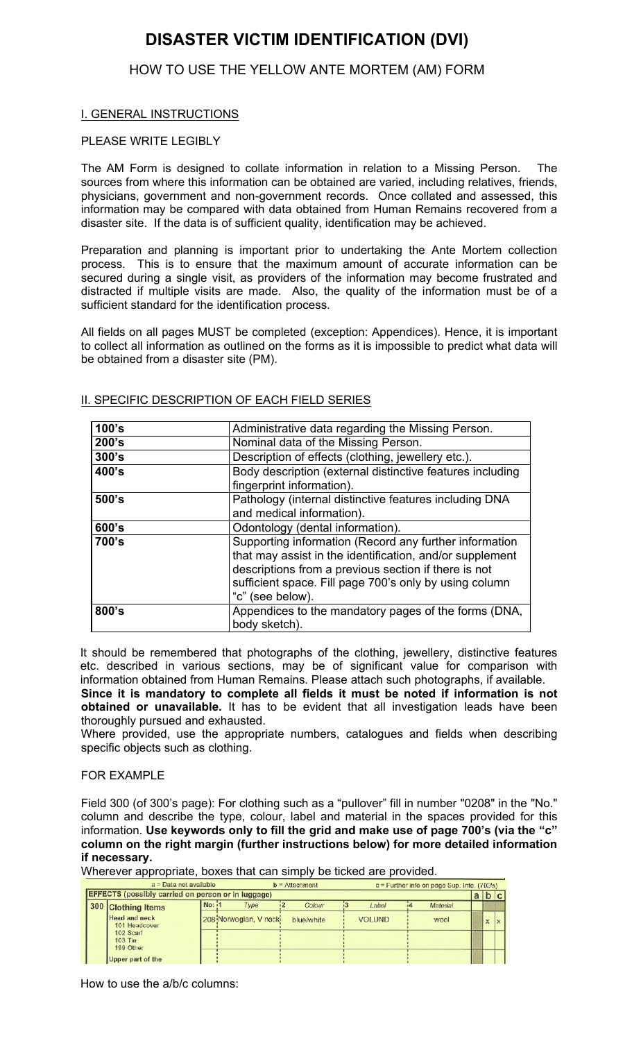# **DISASTER VICTIM IDENTIFICATION (DVI)**

### HOW TO USE THE YELLOW ANTE MORTEM (AM) FORM

#### I. GENERAL INSTRUCTIONS

#### PLEASE WRITE LEGIBLY

The AM Form is designed to collate information in relation to a Missing Person. The sources from where this information can be obtained are varied, including relatives, friends, physicians, government and non-government records. Once collated and assessed, this information may be compared with data obtained from Human Remains recovered from a disaster site. If the data is of sufficient quality, identification may be achieved.

Preparation and planning is important prior to undertaking the Ante Mortem collection process. This is to ensure that the maximum amount of accurate information can be secured during a single visit, as providers of the information may become frustrated and distracted if multiple visits are made. Also, the quality of the information must be of a sufficient standard for the identification process.

All fields on all pages MUST be completed (exception: Appendices). Hence, it is important to collect all information as outlined on the forms as it is impossible to predict what data will be obtained from a disaster site (PM).

| 100's | Administrative data regarding the Missing Person.                                                                                                                                                                                                        |  |  |
|-------|----------------------------------------------------------------------------------------------------------------------------------------------------------------------------------------------------------------------------------------------------------|--|--|
| 200's | Nominal data of the Missing Person.                                                                                                                                                                                                                      |  |  |
| 300's | Description of effects (clothing, jewellery etc.).                                                                                                                                                                                                       |  |  |
| 400's | Body description (external distinctive features including<br>fingerprint information).                                                                                                                                                                   |  |  |
| 500's | Pathology (internal distinctive features including DNA<br>and medical information).                                                                                                                                                                      |  |  |
| 600's | Odontology (dental information).                                                                                                                                                                                                                         |  |  |
| 700's | Supporting information (Record any further information<br>that may assist in the identification, and/or supplement<br>descriptions from a previous section if there is not<br>sufficient space. Fill page 700's only by using column<br>"c" (see below). |  |  |
| 800's | Appendices to the mandatory pages of the forms (DNA,<br>body sketch).                                                                                                                                                                                    |  |  |

#### II. SPECIFIC DESCRIPTION OF EACH FIELD SERIES

It should be remembered that photographs of the clothing, jewellery, distinctive features etc. described in various sections, may be of significant value for comparison with information obtained from Human Remains. Please attach such photographs, if available. **Since it is mandatory to complete all fields it must be noted if information is not**

**obtained or unavailable.** It has to be evident that all investigation leads have been thoroughly pursued and exhausted.

Where provided, use the appropriate numbers, catalogues and fields when describing specific objects such as clothing.

#### FOR EXAMPLE

Field 300 (of 300's page): For clothing such as a "pullover" fill in number "0208" in the "No." column and describe the type, colour, label and material in the spaces provided for this information. **Use keywords only to fill the grid and make use of page 700's (via the "c" column on the right margin (further instructions below) for more detailed information if necessary.**

| Wherever appropriate, boxes that can simply be ticked are provided. |
|---------------------------------------------------------------------|
|---------------------------------------------------------------------|

| $a = Data not available$                                  |        |                        | $b =$ Attachment |               | $c =$ Further info on page Sup. Info. (700's) |  |   |  |
|-----------------------------------------------------------|--------|------------------------|------------------|---------------|-----------------------------------------------|--|---|--|
| <b>EFFECTS</b> (possibly carried on person or in luggage) |        |                        |                  |               | a                                             |  |   |  |
| 300 Clothing Items                                        | No: 11 | Type                   | Colour           | Label         | Material                                      |  |   |  |
| <b>Head and neck</b><br>101 Headcover                     |        | 208 Norwegian, V necki | blue/white       | <b>VOLUND</b> | wool                                          |  | x |  |
| 102 Scarf<br>$103$ Tie<br>199 Other                       |        |                        |                  |               |                                               |  |   |  |
| Upper part of the                                         |        |                        |                  |               |                                               |  |   |  |

How to use the a/b/c columns: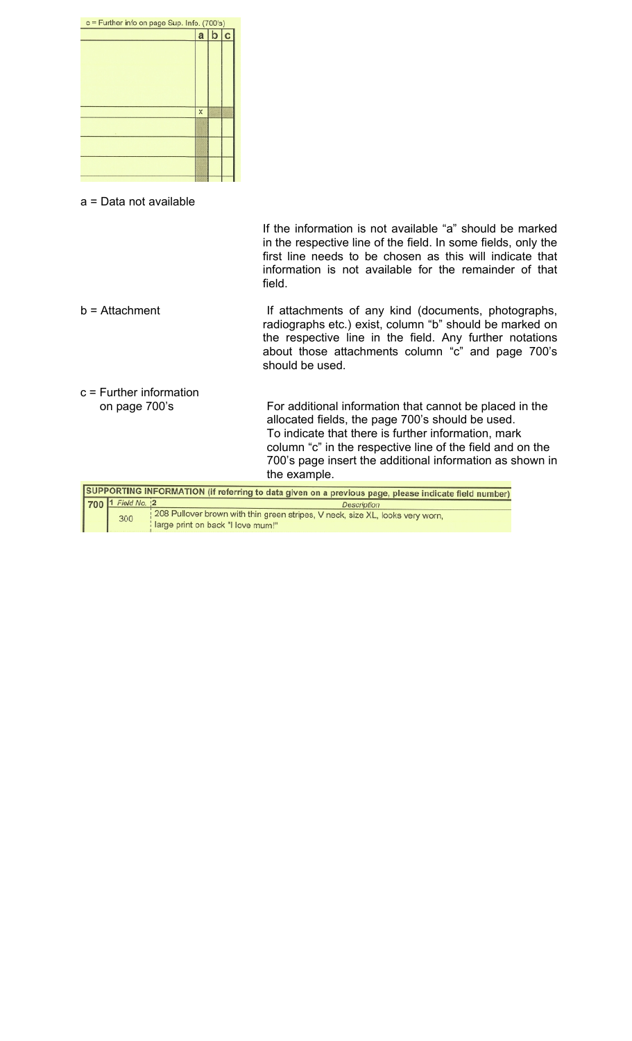

a = Data not available

If the information is not available "a" should be marked in the respective line of the field. In some fields, only the first line needs to be chosen as this will indicate that information is not available for the remainder of that field.

b = Attachment If attachments of any kind (documents, photographs, radiographs etc.) exist, column "b" should be marked on the respective line in the field. Any further notations about those attachments column "c" and page 700's should be used. c = Further information on page 700's For additional information that cannot be placed in the allocated fields, the page 700's should be used.

To indicate that there is further information, mark column "c" in the respective line of the field and on the 700's page insert the additional information as shown in the example.

SUPPORTING INFORMATION (if referring to data given on a previous page, please indicate field number) 700 1 Field No. 12 Description **208 Pullover brown with thin green stripes, V neck, size XL, looks very worn,** 300 large print on back "I love mum!"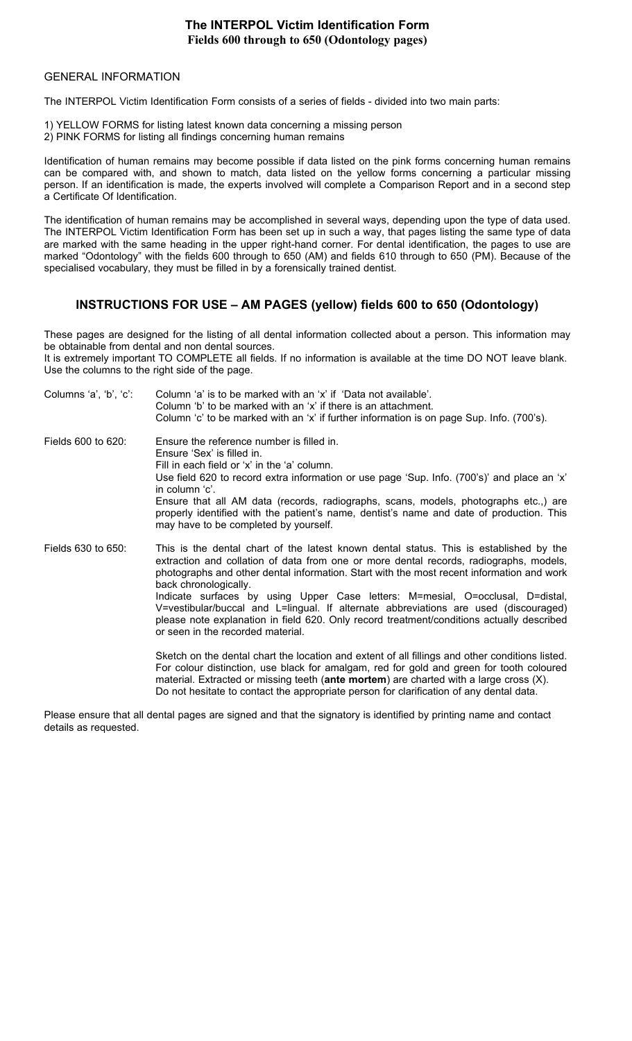#### **The INTERPOL Victim Identification Form Fields 600 through to 650 (Odontology pages)**

#### GENERAL INFORMATION

The INTERPOL Victim Identification Form consists of a series of fields - divided into two main parts:

1) YELLOW FORMS for listing latest known data concerning a missing person 2) PINK FORMS for listing all findings concerning human remains

Identification of human remains may become possible if data listed on the pink forms concerning human remains can be compared with, and shown to match, data listed on the yellow forms concerning a particular missing person. If an identification is made, the experts involved will complete a Comparison Report and in a second step a Certificate Of Identification.

The identification of human remains may be accomplished in several ways, depending upon the type of data used. The INTERPOL Victim Identification Form has been set up in such a way, that pages listing the same type of data are marked with the same heading in the upper right-hand corner. For dental identification, the pages to use are marked "Odontology" with the fields 600 through to 650 (AM) and fields 610 through to 650 (PM). Because of the specialised vocabulary, they must be filled in by a forensically trained dentist.

#### **INSTRUCTIONS FOR USE – AM PAGES (yellow) fields 600 to 650 (Odontology)**

These pages are designed for the listing of all dental information collected about a person. This information may be obtainable from dental and non dental sources.

It is extremely important TO COMPLETE all fields. If no information is available at the time DO NOT leave blank. Use the columns to the right side of the page.

| Columns 'a', 'b', 'c': | Column 'a' is to be marked with an 'x' if 'Data not available'.<br>Column 'b' to be marked with an 'x' if there is an attachment.<br>Column 'c' to be marked with an 'x' if further information is on page Sup. Info. (700's).                                                                                                                                                                                                                                                                                                                                                                                     |
|------------------------|--------------------------------------------------------------------------------------------------------------------------------------------------------------------------------------------------------------------------------------------------------------------------------------------------------------------------------------------------------------------------------------------------------------------------------------------------------------------------------------------------------------------------------------------------------------------------------------------------------------------|
| Fields 600 to 620:     | Ensure the reference number is filled in.<br>Ensure 'Sex' is filled in.<br>Fill in each field or 'x' in the 'a' column.<br>Use field 620 to record extra information or use page 'Sup. Info. (700's)' and place an 'x'<br>in column 'c'.<br>Ensure that all AM data (records, radiographs, scans, models, photographs etc.,) are<br>properly identified with the patient's name, dentist's name and date of production. This<br>may have to be completed by yourself.                                                                                                                                              |
| Fields 630 to 650:     | This is the dental chart of the latest known dental status. This is established by the<br>extraction and collation of data from one or more dental records, radiographs, models,<br>photographs and other dental information. Start with the most recent information and work<br>back chronologically.<br>Indicate surfaces by using Upper Case letters: M=mesial, O=occlusal, D=distal,<br>V=vestibular/buccal and L=lingual. If alternate abbreviations are used (discouraged)<br>please note explanation in field 620. Only record treatment/conditions actually described<br>or seen in the recorded material. |
|                        | Sketch on the dental chart the location and extent of all fillings and other conditions listed.<br>For colour distinction, use black for amalgam, red for gold and green for tooth coloured<br>material. Extracted or missing teeth (ante mortem) are charted with a large cross (X).<br>Do not hesitate to contact the appropriate person for clarification of any dental data.                                                                                                                                                                                                                                   |

Please ensure that all dental pages are signed and that the signatory is identified by printing name and contact details as requested.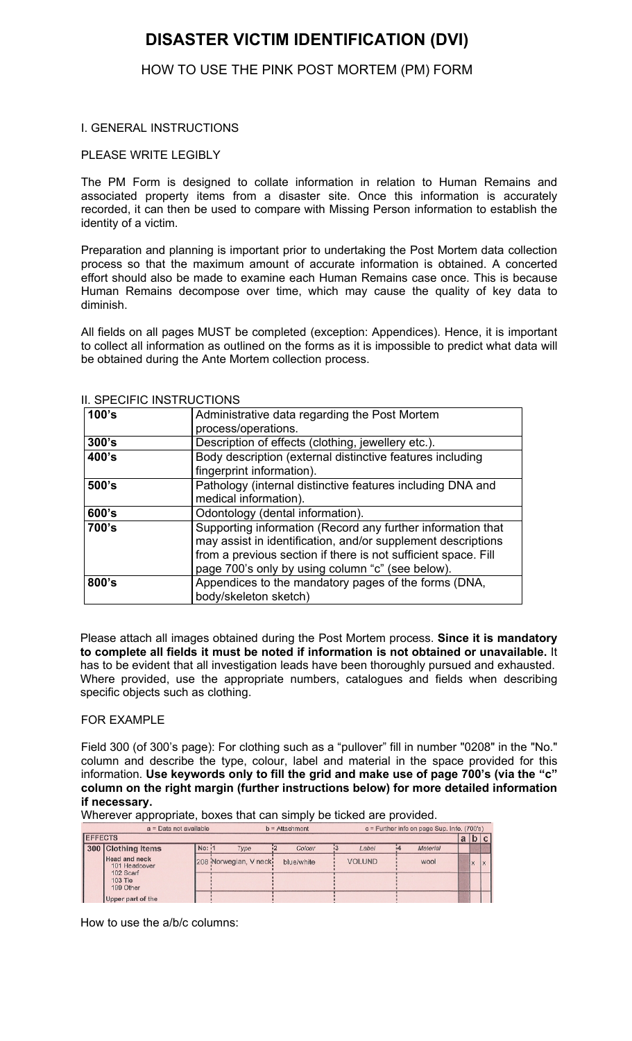# **DISASTER VICTIM IDENTIFICATION (DVI)**

### HOW TO USE THE PINK POST MORTEM (PM) FORM

#### I. GENERAL INSTRUCTIONS

#### PLEASE WRITE LEGIBLY

The PM Form is designed to collate information in relation to Human Remains and associated property items from a disaster site. Once this information is accurately recorded, it can then be used to compare with Missing Person information to establish the identity of a victim.

Preparation and planning is important prior to undertaking the Post Mortem data collection process so that the maximum amount of accurate information is obtained. A concerted effort should also be made to examine each Human Remains case once. This is because Human Remains decompose over time, which may cause the quality of key data to diminish.

All fields on all pages MUST be completed (exception: Appendices). Hence, it is important to collect all information as outlined on the forms as it is impossible to predict what data will be obtained during the Ante Mortem collection process.

|       | טויטוויטטוויט וויטם וטוא                                       |
|-------|----------------------------------------------------------------|
| 100's | Administrative data regarding the Post Mortem                  |
|       | process/operations.                                            |
| 300's | Description of effects (clothing, jewellery etc.).             |
| 400's | Body description (external distinctive features including      |
|       | fingerprint information).                                      |
| 500's | Pathology (internal distinctive features including DNA and     |
|       | medical information).                                          |
| 600's | Odontology (dental information).                               |
| 700's | Supporting information (Record any further information that    |
|       | may assist in identification, and/or supplement descriptions   |
|       | from a previous section if there is not sufficient space. Fill |
|       | page 700's only by using column "c" (see below).               |
| 800's | Appendices to the mandatory pages of the forms (DNA,           |
|       | body/skeleton sketch)                                          |

II. SPECIFIC INSTRUCTIONS

Please attach all images obtained during the Post Mortem process. **Since it is mandatory to complete all fields it must be noted if information is not obtained or unavailable.** It has to be evident that all investigation leads have been thoroughly pursued and exhausted. Where provided, use the appropriate numbers, catalogues and fields when describing specific objects such as clothing.

#### FOR EXAMPLE

Field 300 (of 300's page): For clothing such as a "pullover" fill in number "0208" in the "No." column and describe the type, colour, label and material in the space provided for this information. **Use keywords only to fill the grid and make use of page 700's (via the "c" column on the right margin (further instructions below) for more detailed information if necessary.**

Wherever appropriate, boxes that can simply be ticked are provided.

| $a = Data not available$ |                                       |        | $b =$ Attachment       |            | $c =$ Further info on page Sup. Info. (700's) |          |  |              |    |
|--------------------------|---------------------------------------|--------|------------------------|------------|-----------------------------------------------|----------|--|--------------|----|
|                          | <b>EFFECTS</b>                        |        |                        |            |                                               |          |  | a b c        |    |
|                          | 300 Clothing Items                    | No: 11 | Type                   | Colour     | Label                                         | Material |  |              |    |
|                          | <b>Head and neck</b><br>101 Headcover |        | 208 Norwegian, V necki | blue/white | <b>VOLUND</b>                                 | wool     |  | $\checkmark$ | Ιx |
|                          | 102 Scarf<br>103 Tie<br>199 Other     |        |                        |            |                                               |          |  |              |    |
|                          | Upper part of the                     |        |                        |            |                                               |          |  |              |    |

How to use the a/b/c columns: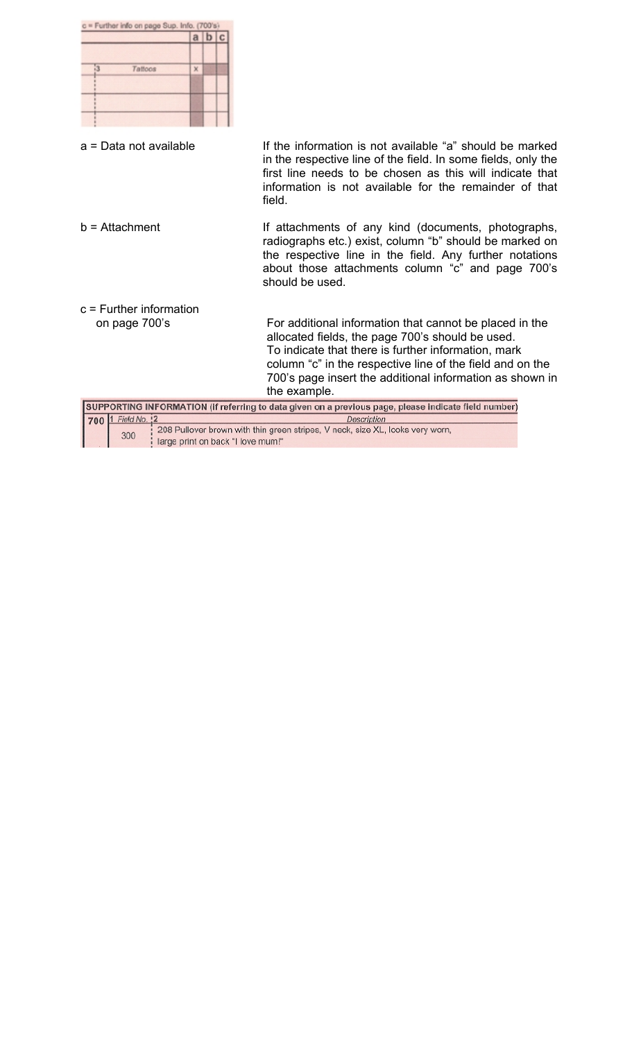| c = Further info on page Sup. Info. (700's)<br>$a \mid b \mid c$<br>Tattoos<br>x |                                                                                                                                                                                                                                                                                                             |
|----------------------------------------------------------------------------------|-------------------------------------------------------------------------------------------------------------------------------------------------------------------------------------------------------------------------------------------------------------------------------------------------------------|
| a = Data not available                                                           | If the information is not available "a" should be marked<br>in the respective line of the field. In some fields, only the<br>first line needs to be chosen as this will indicate that<br>information is not available for the remainder of that<br>field.                                                   |
| $b =$ Attachment                                                                 | If attachments of any kind (documents, photographs,<br>radiographs etc.) exist, column "b" should be marked on<br>the respective line in the field. Any further notations<br>about those attachments column "c" and page 700's<br>should be used.                                                           |
| $c =$ Further information                                                        |                                                                                                                                                                                                                                                                                                             |
| on page 700's                                                                    | For additional information that cannot be placed in the<br>allocated fields, the page 700's should be used.<br>To indicate that there is further information, mark<br>column "c" in the respective line of the field and on the<br>700's page insert the additional information as shown in<br>the example. |
|                                                                                  | SUPPORTING INFORMATION (if referring to data given on a previous page, please indicate field number)                                                                                                                                                                                                        |
| 1 Field No. 12<br>700<br>300<br>large print on back "I love mum!"                | Description<br>208 Pullover brown with thin green stripes, V neck, size XL, looks very worn,                                                                                                                                                                                                                |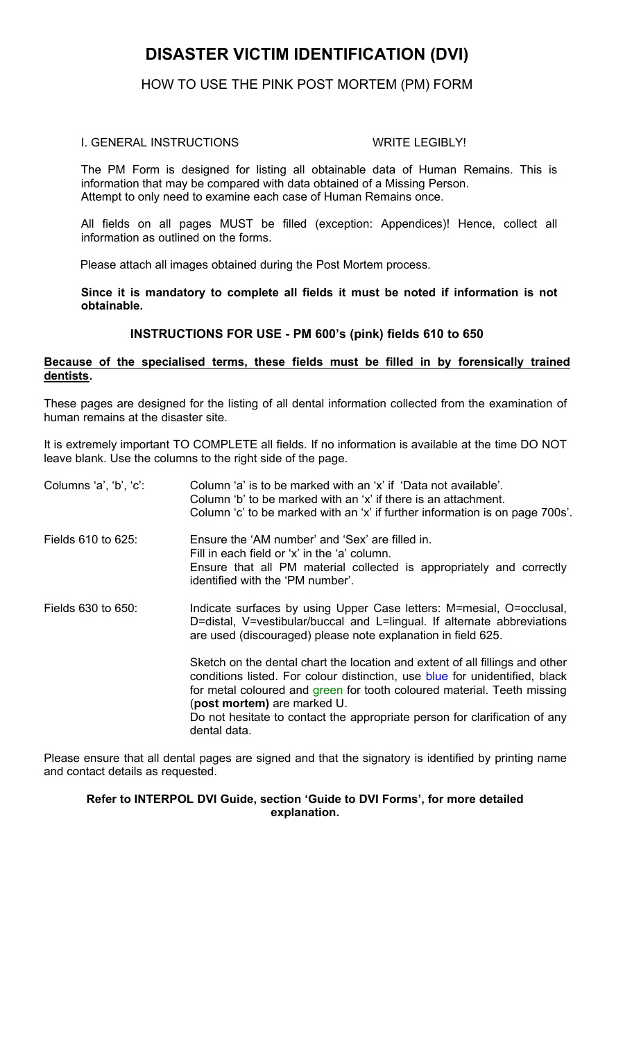# **DISASTER VICTIM IDENTIFICATION (DVI)**

#### HOW TO USE THE PINK POST MORTEM (PM) FORM

#### I. GENERAL INSTRUCTIONS WRITE LEGIBLY!

The PM Form is designed for listing all obtainable data of Human Remains. This is information that may be compared with data obtained of a Missing Person. Attempt to only need to examine each case of Human Remains once.

All fields on all pages MUST be filled (exception: Appendices)! Hence, collect all information as outlined on the forms.

Please attach all images obtained during the Post Mortem process.

**Since it is mandatory to complete all fields it must be noted if information is not obtainable.**

#### **INSTRUCTIONS FOR USE - PM 600's (pink) fields 610 to 650**

#### **Because of the specialised terms, these fields must be filled in by forensically trained dentists.**

These pages are designed for the listing of all dental information collected from the examination of human remains at the disaster site.

It is extremely important TO COMPLETE all fields. If no information is available at the time DO NOT leave blank. Use the columns to the right side of the page.

| Columns 'a', 'b', 'c': | Column 'a' is to be marked with an 'x' if 'Data not available'.<br>Column 'b' to be marked with an 'x' if there is an attachment.<br>Column 'c' to be marked with an 'x' if further information is on page 700s'.                                                                                                                                                   |
|------------------------|---------------------------------------------------------------------------------------------------------------------------------------------------------------------------------------------------------------------------------------------------------------------------------------------------------------------------------------------------------------------|
| Fields 610 to 625:     | Ensure the 'AM number' and 'Sex' are filled in.<br>Fill in each field or 'x' in the 'a' column.<br>Ensure that all PM material collected is appropriately and correctly<br>identified with the 'PM number'.                                                                                                                                                         |
| Fields 630 to 650:     | Indicate surfaces by using Upper Case letters: M=mesial, O=occlusal,<br>D=distal, V=vestibular/buccal and L=lingual. If alternate abbreviations<br>are used (discouraged) please note explanation in field 625.                                                                                                                                                     |
|                        | Sketch on the dental chart the location and extent of all fillings and other<br>conditions listed. For colour distinction, use blue for unidentified, black<br>for metal coloured and green for tooth coloured material. Teeth missing<br>(post mortem) are marked U.<br>Do not hesitate to contact the appropriate person for clarification of any<br>dental data. |

Please ensure that all dental pages are signed and that the signatory is identified by printing name and contact details as requested.

#### **Refer to INTERPOL DVI Guide, section 'Guide to DVI Forms', for more detailed explanation.**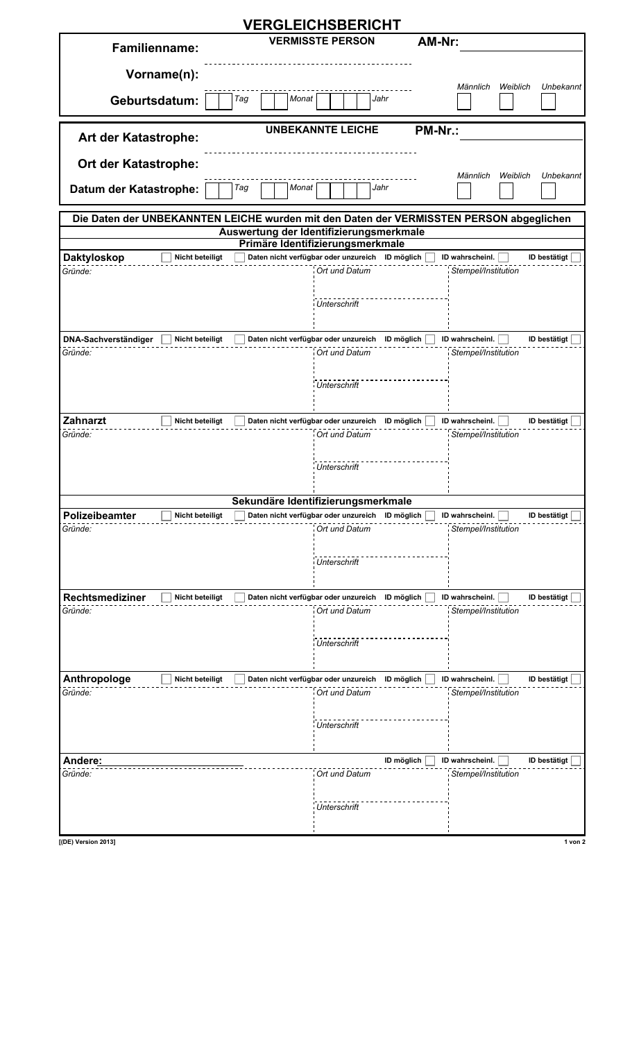|                                                         | <b>VERGLEICHSBERICHT</b>                                         |                                                                                         |
|---------------------------------------------------------|------------------------------------------------------------------|-----------------------------------------------------------------------------------------|
| <b>Familienname:</b>                                    | <b>VERMISSTE PERSON</b>                                          | AM-Nr:                                                                                  |
|                                                         |                                                                  |                                                                                         |
| Vorname(n):                                             |                                                                  |                                                                                         |
|                                                         | Tag<br>Monat<br>Jahr                                             | Männlich<br>Weiblich<br>Unbekannt                                                       |
| Geburtsdatum:                                           |                                                                  |                                                                                         |
|                                                         | <b>UNBEKANNTE LEICHE</b>                                         | <b>PM-Nr.:</b>                                                                          |
| Art der Katastrophe:                                    |                                                                  |                                                                                         |
| <b>Ort der Katastrophe:</b>                             |                                                                  | Männlich<br>Weiblich<br>Unbekannt                                                       |
| Datum der Katastrophe:                                  | Tag<br>Monat<br>Jahr                                             |                                                                                         |
|                                                         |                                                                  | Die Daten der UNBEKANNTEN LEICHE wurden mit den Daten der VERMISSTEN PERSON abgeglichen |
|                                                         | Auswertung der Identifizierungsmerkmale                          |                                                                                         |
|                                                         | Primäre Identifizierungsmerkmale                                 |                                                                                         |
| <b>Daktyloskop</b><br><b>Nicht beteiligt</b><br>Gründe: | Daten nicht verfügbar oder unzureich ID möglich<br>Ort und Datum | ID wahrscheinl.<br>ID bestätigt<br>Stempel/Institution                                  |
|                                                         |                                                                  |                                                                                         |
|                                                         | <b>Unterschrift</b>                                              |                                                                                         |
|                                                         |                                                                  |                                                                                         |
| DNA-Sachverständiger<br><b>Nicht beteiligt</b>          | Daten nicht verfügbar oder unzureich ID möglich                  | ID wahrscheinl.<br>ID bestätigt                                                         |
| Gründe:                                                 | Ort und Datum                                                    | Stempel/Institution                                                                     |
|                                                         |                                                                  |                                                                                         |
|                                                         | <b>Unterschrift</b>                                              |                                                                                         |
|                                                         |                                                                  |                                                                                         |
| <b>Zahnarzt</b><br><b>Nicht beteiligt</b>               | Daten nicht verfügbar oder unzureich ID möglich                  | ID wahrscheinl.<br><b>ID bestätigt</b>                                                  |
| Gründe:                                                 | Ort und Datum                                                    | Stempel/Institution                                                                     |
|                                                         |                                                                  |                                                                                         |
|                                                         | Unterschrift                                                     |                                                                                         |
|                                                         |                                                                  |                                                                                         |
|                                                         | Sekundäre Identifizierungsmerkmale                               |                                                                                         |
| Polizeibeamter<br><b>Nicht beteiligt</b>                | Daten nicht verfügbar oder unzureich                             | ID wahrscheinl.<br>ID bestätigt<br>ID möglich                                           |
| Gründe:                                                 | Ort und Datum                                                    | Stempel/Institution                                                                     |
|                                                         |                                                                  |                                                                                         |
|                                                         | Unterschrift                                                     |                                                                                         |
|                                                         |                                                                  |                                                                                         |
| <b>Rechtsmediziner</b><br><b>Nicht beteiligt</b>        | Daten nicht verfügbar oder unzureich                             | ID wahrscheinl.<br>ID bestätigt<br>ID möglich                                           |
| Gründe:                                                 | Ort und Datum                                                    | Stempel/Institution                                                                     |
|                                                         |                                                                  |                                                                                         |
|                                                         | Unterschrift                                                     |                                                                                         |
|                                                         |                                                                  |                                                                                         |
| Anthropologe<br><b>Nicht beteiligt</b>                  | Daten nicht verfügbar oder unzureich ID möglich                  | ID wahrscheinl.<br>ID bestätigt                                                         |
| Gründe:                                                 | Ort und Datum                                                    | Stempel/Institution                                                                     |
|                                                         |                                                                  |                                                                                         |
|                                                         | Unterschrift                                                     |                                                                                         |
|                                                         |                                                                  |                                                                                         |
| Andere:                                                 |                                                                  | ID möglich<br>ID wahrscheinl.<br><b>ID bestätigt</b>                                    |
| Gründe:                                                 | Ort und Datum                                                    | Stempel/Institution                                                                     |
|                                                         |                                                                  |                                                                                         |
|                                                         | <b>Unterschrift</b>                                              |                                                                                         |
|                                                         |                                                                  |                                                                                         |
| [(DE) Version 2013]                                     |                                                                  | $1$ von $2$                                                                             |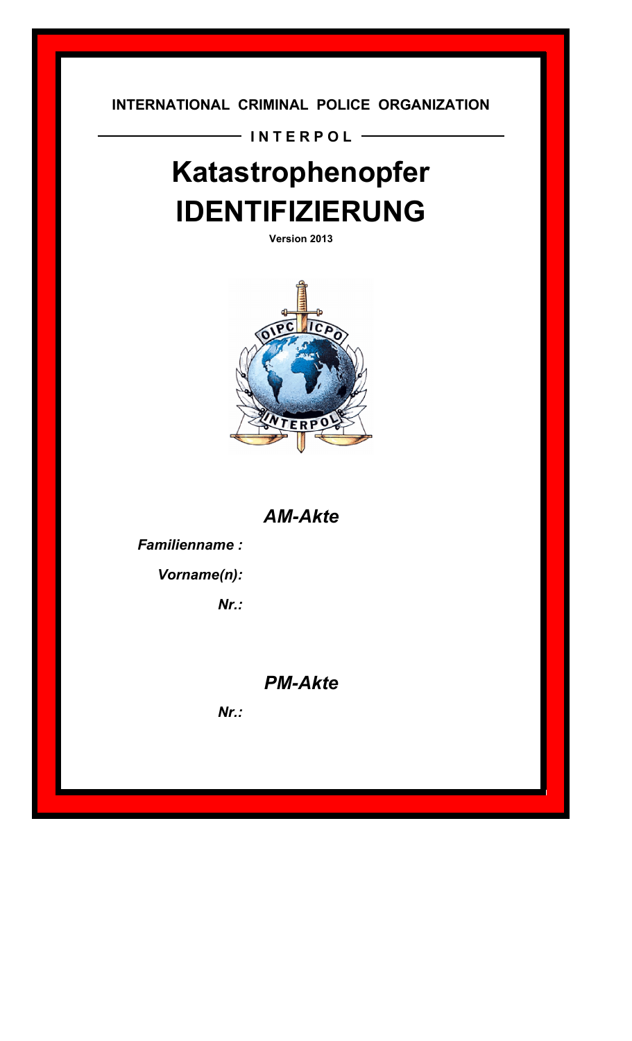**INTERNATIONAL CRIMINAL POLICE ORGANIZATION**

- INTERPOL -

# **Katastrophenopfer IDENTIFIZIERUNG**

**Version 2013**



*AM-Akte*

*Familienname :*

*Vorname(n):*

*Nr.:*

*PM-Akte*

*Nr.:*